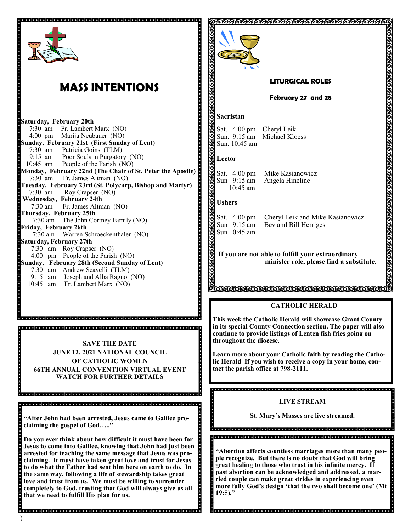

# **MASS INTENTIONS**

**Saturday, February 20th**  7:30 am Fr. Lambert Marx (NO) Marija Neubauer (NO) **Sunday, February 21st (First Sunday of Lent)** 7:30 am Patricia Goins (TLM) 9:15 am Poor Souls in Purgatory (NO) 10:45 am People of the Parish (NO) **Monday, February 22nd (The Chair of St. Peter the Apostle)** 7:30 am Fr. James Altman (NO) **Tuesday, February 23rd (St. Polycarp, Bishop and Martyr)**  7:30 am Roy Crapser (NO) **Wednesday, February 24th**  7:30 am Fr. James Altman (NO) **Thursday, February 25th** 7:30 am The John Cortney Family (NO) **Friday, February 26th**  7:30 am Warren Schroeckenthaler (NO) **Saturday, February 27th**  7:30 am Roy Crapser (NO) 4:00 pm People of the Parish (NO) **Sunday, February 28th (Second Sunday of Lent)** 7:30 am Andrew Scavelli (TLM) 9:15 am Joseph and Alba Ragno (NO) 10:45 am Fr. Lambert Marx (NO)

**SAVE THE DATE JUNE 12, 2021 NATIONAL COUNCIL OF CATHOLlC WOMEN 66TH ANNUAL CONVENTION VIRTUAL EVENT WATCH FOR FURTHER DETAILS**

**"After John had been arrested, Jesus came to Galilee proclaiming the gospel of God….."**

**Do you ever think about how difficult it must have been for Jesus to come into Galilee, knowing that John had just been arrested for teaching the same message that Jesus was proclaiming. It must have taken great love and trust for Jesus to do what the Father had sent him here on earth to do. In the same way, following a life of stewardship takes great love and trust from us. We must be willing to surrender completely to God, trusting that God will always give us all that we need to fulfill His plan for us.** 



#### **LITURGICAL ROLES**

**February 27 and 28**

#### **Sacristan**

Sat. 4:00 pm Cheryl Leik<br>Sun. 9:15 am Michael Klo Sun. 10:45 am

Michael Kloess

#### **Lector**

10:45 am

Sat. 4:00 pm Mike Kasianowicz Sun 9:15 am Angela Hineline

#### **Ushers**

Sun 10:45 am

Sat. 4:00 pm Cheryl Leik and Mike Kasianowicz Sun 9:15 am Bev and Bill Herriges

**If you are not able to fulfill your extraordinary minister role, please find a substitute.** 

IBBJSJARBJARJARJARJARJARJARJA

#### **CATHOLIC HERALD**

**This week the Catholic Herald will showcase Grant County in its special County Connection section. The paper will also continue to provide listings of Lenten fish fries going on throughout the diocese.** 

**Learn more about your Catholic faith by reading the Catholic Herald If you wish to receive a copy in your home, contact the parish office at 798-2111.**

# **LIVE STREAM**

**St. Mary's Masses are live streamed.**

**"Abortion affects countless marriages more than many people recognize. But there is no doubt that God will bring great healing to those who trust in his infinite mercy. If past abortion can be acknowledged and addressed, a married couple can make great strides in experiencing even more fully God's design 'that the two shall become one' (Mt 19:5)."**

)

 $\overline{\phantom{a}}$